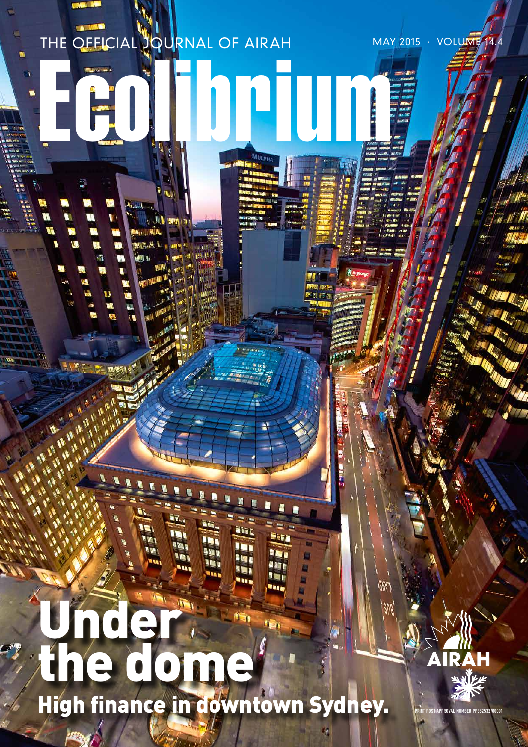# THE OFFICIAL JOURNAL OF AIRAH MAY 2015 · VOLUME 14.4 ECOLORUI H i. ŧ **Stac** a un e m, ر پير از m. m Under: the dome

High finance in downtown Sydney.